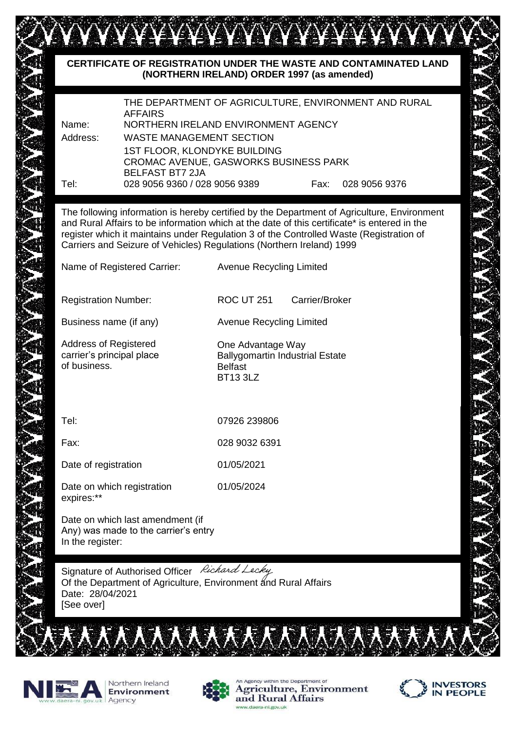## **CERTIFICATE OF REGISTRATION UNDER THE WASTE AND CONTAMINATED LAND (NORTHERN IRELAND) ORDER 1997 (as amended)** THE DEPARTMENT OF AGRICULTURE, ENVIRONMENT AND RURAL AFFAIRS Name: NORTHERN IRELAND ENVIRONMENT AGENCY Address: WASTE MANAGEMENT SECTION 1ST FLOOR, KLONDYKE BUILDING CROMAC AVENUE, GASWORKS BUSINESS PARK BELFAST BT7 2JA Tel: 028 9056 9360 / 028 9056 9389 Fax: 028 9056 9376 The following information is hereby certified by the Department of Agriculture, Environment and Rural Affairs to be information which at the date of this certificate\* is entered in the register which it maintains under Regulation 3 of the Controlled Waste (Registration of Carriers and Seizure of Vehicles) Regulations (Northern Ireland) 1999 Name of Registered Carrier: Avenue Recycling Limited Registration Number: ROC UT 251 Carrier/Broker Business name (if any) Business name (if any) Avenue Recycling Limited Address of Registered carrier's principal place of business. Tel: 07926 239806 Fax: 028 9032 6391 Date of registration 01/05/2021 Date on which registration 01/05/2024 expires:\*\* Date on which last amendment (if Any) was made to the carrier's entry In the register: One Advantage Way Ballygomartin Industrial Estate Belfast BT13 3LZ

Signature of Authorised Officer Richard Lecky Of the Department of Agriculture, Environment and Rural Affairs Date: 28/04/2021 [See over]





Agency within the Department of

and Rural Affairs

**Agriculture, Environment** 

**/FSTORS** 

**IN PEOPLE**